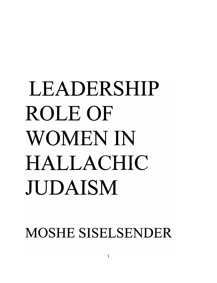# LEADERSHIP ROLEOF WOMEN IN HALLACHIC JUDAISM

MOSHE SISELSENDER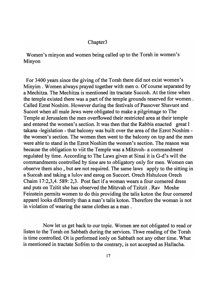### Chapter3

Women's minyon and women being called up to the Torah in women's Minyon

For 3400 years since the giving of the Torah there did not exist women's Minyim . Women always prayed together with men o. Of course separated by a Mechitza. The Mechitza is mentioned itn tractate Succoh. At the time when the temple existed there was a part of the temple grounds reserved for women. Called Ezrat Noshim. However during the festivals of Passover Shavuot and Succot when all male Jews were obligated to make a pilgrimage to The Temple at Jerusalem the men overflowed their restricted area at their temple and entered the women's section. It was then that the Rabbis enacted great I takana -legislation - that balcony was built over the area of the Ezrot Noshim the women's section. The women then went to the balcony on top and the men were able to stand in the Ezrot Noshim the women's section. The reason was because the obligation to viit the Temple was a Mitzvoh- a commandment regulated by time. According to The Laws given at Sinai it is G-d's will the commandments controlled by time are to obligatory only for men. Women can observe them also, but are not required. The same laws apply to the sitting in a Succah and taking a lulov and esrog on Succort. Orech Hshulcon Orech Chaim 17:2,3,4. 589: 2,3. Post fact if a woman wears a four cornered dress and puts on Tzitit she has observed the Mitzvah of Tzitzit. Rav Moshe Feinstein permits women to do this providing the talis koton the four cornered apparel looks differently than a man's talis koton. Therefore the woman is not in violation of wearing the same clothes as a man .

Now let us get back to our topic. Women are not obligated to read or listen to the Torah on Sabbath during the services. Thwe reading of the Torah is time controlled. Ot is performed ionly on Sabbath not any other time. What is mentioned in tractate Sofrim to the contrary, is not accepted as Hallacha.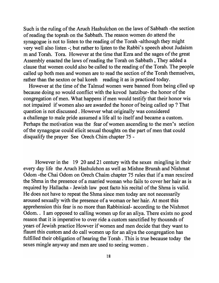Such is the ruling of the Aruch Hashulchon on the laws of Sabbath -the section of reading the toprah on the Sabbath. The reason women do attend the synagogue is not to listen to the reading of the Torah -although they might very well also listen -; but rather to listen to the Rabbi's speech about Judaism m and Torah. Tora. However at the time that Ezra and the sages of the great Assembly enacted the laws of reading the Torah on Sabbath, They added a clause that women could also be called to the reading of the Torah. The people called up both men and women are to read the section of the Torah themselves, rather than the sexton or bal koreh reading it as is practiced today.

However at the time of the Talmud women were banned from being clled up because doing so would conflict with the kovod hatzibur- the honor of the congregation of men. What happens if men would testify that their honor wis not impaired if women also are awarded the honor of being called up ? That question is not discussed. However what originally was considered a challenge to male pride assumed a life all to itself and became a custom. Perhaps the motivation was the fear of women ascending to the men's section of the synagogue could elicit sexual thoughts on the part of men that could disqualify the prayer See Orech Chim chapter 75 -

However in the 19 20 and 21 century with the sexes mingling in their every day life the Aruch Hashulchon as well as Mishne Brurah and Nishmat Odom -the Chai Odom on Orech Chaim chapter 75 rules that if a man rexcired the Shma in the presence of a married woman who fails to cover her hair as is required by Hallacha - Jewish law post facto his recital of the Shma is valid. He does not have to repeat the Shma since men today are not necessarily aroused sexually with the presence of a woman or her hair. At most this apprehension this fear is no more than Rabbinical- according to the Nishmot Odom.. I am opposed to calling women up for an aliya. There exists no good reason that it is imperative to over ride a custom sanctified by thousnds of years of Jewish practice Howver if women and men decide that they want to flaunt this custom and do call women up for an aliya the congregation has fulfilled their obligation of hearing the Torah. This is true because today the sexes mingle anyway and men are used to seeing women.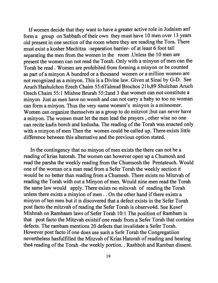If women decide that they want to have a greater active role in Judaism anf form a group on Sabbath of their own they must have 10 men over 13 years old present in one section of the room where they are reading the Tora. There must exist a kosher Mechitza -separation barrier- of at least 6 foot tall separating the men from the women in the room .Unless the 10 men are present the women can not read the Torah. Only with a minyon of men can the Torah be read. Women are prohibited from forming a minyon or be counted as part of a minyon A hundred or a thousand women or a million women are not recognized as a minyon. This is a Divine law. Given at Sinai by G-D. See Aruch Hashulchon Erech Chaim 55:6Talmud Brochos 21 b,89 Shulchan Aruch Orech Chaim 55:1 Mishne Brurah 55:2and 3 that women can not constitute a minyon Just as men have no womb and can not carry a baby so too no woman can form a minyon. Thus the very name women's minyon is a misnomer. Women can organize themselves as a group to do mitzvot ;but can never have a minyon. The women must let the men lead the prayers, other wise no one can recite kadis borch and kedusha. The reading of the Torah was enacted only with a minyon of men Then the women could be called up. There exists little difference between this alternative and the previous option stated.

In the contingency that no minyon of men exists the there can not be a reading of krias hatorah. The women can however open up a Chumosh and read the parsha the weekly reading from the Chumsosh the Pentateuch. Would one of the woman or a man read from a Sefer Torah the weekly section it would be no better than reading from a Chumesh. There exists no Mitzvah of reading the Torah with out a Minyon of men. Would nine men read the Torah the same law would apply. There exists no mitxvah of reading the Torah unless there exists a minyion of men .. On the other hand if there exists a minyon of ten men but it is discovered that a defect exists in the Sefer Torah post facto the mitzvah of reading the Sefer Torah is observe4d. See Kesef Mishnah on Rambaam laws of Sefer Torah 10:1 The position of Rambam is that post facto the Mitzvah existsif one reads from a Sefer Torah that contains defects. The rambam mentions 20 defects that invalidate a Sefer Torah. However post facto if one does use such a Sefe Torah the Congregatiion nevertheless hasfulfilled the Mitzvah of Krias Hatorah of reading and hearing the4 reading of the Torah -the weekly portion. . Rashboh and Ramban dissent.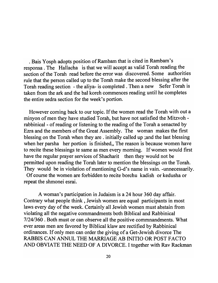. Bais Yosph adopts position of Rambam that is cited in Rambam's responsa . The Hallacha is that we will accept as valid Torah reading the section of the Torah read before the error was discovered. Some authorities rule that the person called up to the Torah make the second blessing after the Torah reading section - the aliya- is completed. Then a new Sefer Torah is taken from the ark and the bal koreh commences reading until he completes the entire sedra section for the week's portion.

However coming back to our topic. If the women read the Torah with out a minyon of men they have studied Torah, but have not satisfied the Mitzvoh rabbinical- of reading or listening to the reading of the Torah a senacted by Ezra and the members of the Great Assembly. The woman makes the first blessing on the Torah when they are. initially called up ;and the last blessing when her parsha her portion is finished. The reason is because women have to recite these blessings te same as men every morning. If women would first have the regular prayer services of Shacharit then they would not be permitted upon reading the Torah later to mention the blessings on the Torah. They would be in violation of mentioning G-d's name in vain. -unnecessarily.

Of course the women are forbidden to recite borchu kadish or kedusha or repeat the shmonei esrai.

A woman's participation in Judaism is a 24 hour 360 day affair. Contrary what people think, Jewish women are equal participants in most laws every day of the week. Certainly all Jewish women must abstain from violating all the negative commandments both Biblical and Rabbinical 7/24/360 . Both must or can observe all the positive commnandments. What ever areas men are favored by Biblical klaw are rectified by Rabbinical ordinances. If only men can order the giving of a Get-Jewish divorce The RABBIS CAN ANNUL THE MARRIAGE AB INITIO OR POST FACTO AND OBVIATE THE NEED OF A DIVORCE. I together with Rav Rackman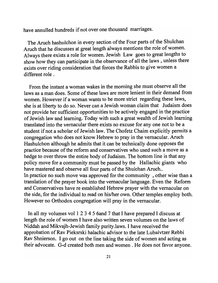have annulled hundreds if not over one thousand marriages.

The Aruch hashulchon in every section of the Four parts of the Shulchan Aruch that he discusses at great length always mentions the role of women. Always there exists a role for women. Jewish Law goes to great lengths to show how they can participate in the observance of all the laws, unless there exists over riding consideration that forces the Rabbis to give women a different role.

From the instant a woman wakes in the morning she must observe all the laws as a man does. Some of these laws are more lenient in their demand from women. However if a woman wants to be more strict regarding these laws, she is at liberty to do so. Never can a Jewish woman claim that Judaism does not provide her sufficient opportunities to be actively engaged in the practice of Jewish law and learning. Today with such a great wealth of Jewish learning translated into the vernacular there exists no excuse for anyone not to be a student if not a scholar of Jewish law. The Chofetz Chaim explicitly permits a congregation who does not know Hebrew to pray in the vernacular. Aruch Hashulchon although he admits that it can be technically done opposes the practice because of the reform and conservatives who used such a move as a hedge to over throw the entire body of Judaism. The bottom line is that any policy move for a community must be passed by the Hallachic giants who have mastered and observe all four parts of the Shulchan Aruch.. In practice no such move was approved for the community, other wise than a translation of the prayer book into the vernacular language. Even the Reform and Conservatives have re established Hebrew prayer with the vernacular on the side, for the individual to read on his/her own. Other temples employ both. However no Orthodox congregation will pray in the vernacular.

In all my volumes vol 1 2 3 4 5 6and 7 that I have prepared I discuss at length the role of women I have also written seven volumes on the laws of Niddah and Mikvajh-Jewish family purity.laws. I have received the approbation of Rav Pieksrski halachic advisor to the late Lubaivtzer Rebbi Rav Shnierson. I go out on the line taking the side of women and acting as their advocate. G-d created both men and women. He does not favor anyone.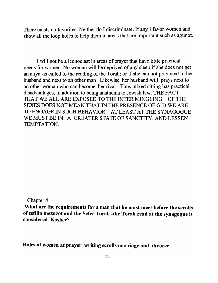There exists no favorites. Neither do I discriminate. If any I favor women and show all the loop holes to help them in areas that are important such as agunot.

I will not be a iconoclast in areas of prayer that have little practical needs for women. No woman will be deprived of any sleep if she does not get an aliya -is called to the reading of the Torah; or if she can not pray next to her husband and next to an other man. Likewise her husband will prays next to an other woman who can become her rival - Thus mixed sitting has practical disadvantages, in addition to being anathema to Jewish law. THE FACT THAT WE ALL ARE EXPOSED TO THE INTER MINGLING OF THE SEXES DOES NOT MEAN THAT IN THE PRESENCE OF G-D WE ARE TO ENGAGE IN SUCH BEHAVIOR. AT LEAST AT THE SYNAGOGUE WE MUST BE IN A GREATER STATE OF SANCTITY. AND LESSEN TEMPTATION.

Chapter 4

What are the requirements for a man that he must meet before the scrolls of tefilin mezuzot and the Sefer Torah -the Torah read at the synagogue is considered Kosher?

Roles of women at prayer writing scrolls marriage and divorce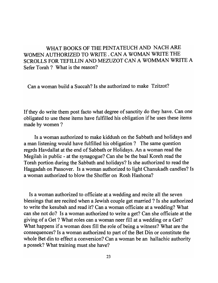# WHAT BOOKS OF THE PENTATEUCH AND NACH ARE WOMEN AUTHORIZED TO WRITE. CAN A WOMAN WRITE THE SCROLLS FOR TEFILLIN AND MEZUZOT CAN A WOMMAN WRITE A Sefer Torah? What is the reason?

Can a woman build a Succah? Is she authorized to make Tzitzot?

If they do write them post facto what degree of sanctity do they have. Can one obligated to use these items have fulfilled his obligation if he uses these items made by women ?

Is a woman authorized to make kiddush on the Sabbath and holidays and a man listening would have fulfilled his obligation? The same question regrds Havdallat at the end of Sabbath or Holidays. An a woman read the Megilah in public - at the synagogue? Can she be the baal Koreh read the Torah portion during the Sabbath and holidays? Is she authorized to read the Haggadah on Passover. Is a woman authorized to light Chanukadh candles? Is a woman authorized to blow the Shoffer on Rosh Hashona?

Is a woman authorized to officiate at a wedding and recite all the seven blessings that are recited when a Jewish couple get married? Is she authorized to write the kesubah and read it? Can a woman officiate at a wedding? What can she not do? Is a woman authorized to write a get? Can she officiate at the giving of a Get? What roles can a woman neer fill at a wedding or a Get? What happens if a woman does fill the role of being a witness? What are the consequences? Is a woman authorized to part of the Bet Din or constitute the whole Bet din to effect a conversion? Can a woman be an hallachic authority a possek? What training must she have?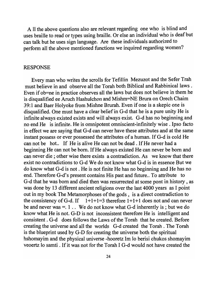A 11 the above questions also are relevant regarding one who is blind and uses braille to read or types using braille. Or else an individual who is deaf but can talk but he uses sign language. Are these individuals authorized to perform all the above mentioned functions we inquired regarding women?

#### RESPONSE

Every man who writes the scrolls for Tefillin Mezuzot and the Sefer Trah must believe in and observe all the Torah both Biblical and Rabbinical laws . Even if ob=ne in practice observes all the laws but does not believe in them he is disqualified ee Aruch Hashulchon and Mishm=NE Brura on Orech Chaim 39: 1 and Baer Holyoke from Mishne Brurah. Even if one is a skepic one is disqualified. One must have a clear belief in G-d that he is a pure unity He is infinite always existed exists and will always exist. G-d has no beginning and no end He is infinite. He is omnipotent omniscient-infinitely wise. Ipso facto in effect we are saying that G-d can never have these attributes and at the same instant possess or ever possessed the attributes of a human. If G-d is cold He can not be hot.. If He is alive He can not be dead. If He never had a beginning He can not be born. If He always existed He can never be born and can never die; other wise there exists a contradiction. As we know that there exist no contradictions to G-d We do not know what G-d is in essence But we do know what G-d is not. He is not finite He has no beginning and He has no end. Therefore G-d's present contains His past and future.. To attribute to G-d that he was born and died then was resurrected at some pont in history , as was done by 13 different ancient religions over the last 4000 years as I point out in my book The Metamorphoses of the gods, is a direct contradiction to the consistency of G-d. If  $1+1+1=3$  therefore  $1+1+1$  does not and can never be and never was  $=$ . 1 . We do not know what G-d inherently is ; but we do know what He is not. G-D is not inconsistent therefore He is intelligent and consistent. G-d does follows the Laws of the Torah that he created. Before creating the universe and all the worlds G-d created the Torah. The Torah is the blueprint used by G-D for creating the universe both the spiritual hshomayim and the physical universe -hooretz 1m 10 berisi chukos shomayim veoertz 10 samti . If it was not for the Torah I G-d would not have created the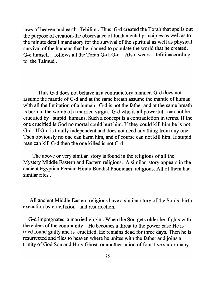laws of heaven and earth -Tehilim . Thus G-d created the Torah that spells out the purpose of creation-the observance of fundamental principles as well as to the minute detail mandatory for the survival of the spiritual as well as physical survival of the humans that he planned to populate the world that he created. G-d himself follows all the Torah G-d. G-d Also wears tefilinaccording to the Talmud.

Thus G-d does not behave in a contradictory manner. G-d does not assume the mantle of G-d and at the same breath assume the mantle of human with all the limitation of a human. G-d is not the father and at the same breath is born in the womb of a married virgin. G-d who is all powerful can not be crucified by stupid humans. Such a concept is a contradiction in terms. If the one crucified is God no mortal could hurt him. If they could kill him he is not G-d. If G-d is totally independent and does not need any thing from anyone Then obviously no one can harm him, and of course can not kill him. If stupid man can kill G-d then the one killed is not G-d

The above or very similar story is found in the religions of all the Mystery Middle Eastern and Eastern religions. A similar story appears in the ancient Egyptian Persian Hindu Buddist Phonician religions. All of them had similar rites .

All ancient Middle Eastern religions have a similar story of the Son's birth execution by crucifixion and resurrection.

G-d impregnates a married virgin. When the Son gets older he fights with the elders of the community. He becomes a threat to the power base He is tried found guilty and is crucified. He remains dead for three days. Then he is resurrected and flies to heaven where he unites with the father and joins a trinity of God Son and Holy Ghost or another union of four five six or many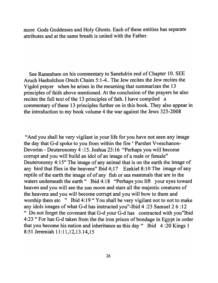more Gods Goddesses and Holy Ghosts. Each of these entities has separate attributes and at the same breath is united with the Father.

See Rammbam on his commentary to Sanehdrin end of Chapter 10. SEE Aruch Hashulchon Orech Chaim 5:1-4 .. The Jew recites the Jew recites the Yigdol prayer when he arises in the mourning that summarizes the 13 principles of faith above mentioned. At the conclusion of the prayers he also recites the full text of the 13 principles of fath. I have compiled a commentary of these 13 principles further on in this book. They also appear in the introduction to my book volume 4 the war against the Jews 325-2008

"And you shall be very vigilant in your life for you have not seen any image the day that G-d spoke to you from within the fire' Parshet Vveschanon-Devorim - Deuteronomy 4 :15. Joshua 23:16 "Perhaps you will become corrupt and you will build an idol of an image of a male or female" Deuteronomy 4:15" The image of any animal that is on the earth the image of any bird that flies in the heavens" Ibid  $4:17$  Ezekiel 8:10 The image of any reptile of the earth the image of of any fish or sea mammals that are in the waters underneath the earth "Ibid 4:18 "Perhaps you lift your eyes toward heaven and you will see the sun moon and stars all the majestic creatures of the heavens and you will become corrupt and you will bow to them and worship them etc " Ibid 4:19 " You shall be very vigilant not to not to make any idols images of what G-d has instructed you"-Ibid 4 :23 Samuel 2 6 :12 " Do not forget the covenant that G-d your G-d has contracted with you"Ibid 4:23 "For has G-d taken from the the iron prison of bondage in Egypt in order that you become his nation and inheritance as this day" Ibid 4 :20 Kings 1 8:51 Jeremiah 11:11, 12, 13.14, 15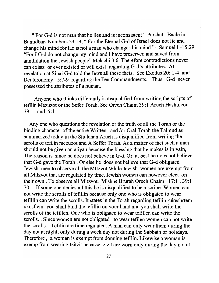"For G-d is not man that he lies and is inconsistent" Parshat Baale in Bamidbar- Numbers 23:19; " For the Eternal G-d of Israel does not lie and change his mind for He is not a man who changes his mind "- Samuel I -15 :29 "For I G-d do not change my mind and I have preserved and saved from annihilation the Jewish people" Melachi 3:6 Therefore contradictions never can exists or ever existed or will exist regarding G-d's attributes. At revelation at Sinai G-d told the Jews all these facts. See Exodus 20: 1-4 and Deuteronomy 5:7-9 regarding the Ten Commandments. Thus G-d never possessed the attributes of a human.

Anyone who thinks differently is disqualified from writing the scripts of tefilin Mezuzot or the Sefer Torah. See Orech Chaim 39:1 Aruch Hashulcon 39:1 and 5:1

Anyone who questions the revelation or the truth of all the Torah or the binding character of the entire Written and *lor* Oral Torah the Talmud as summarized today in the Shulchan Aruch is disqualified from writing the scrolls of tefilin mezuzot and A Seffer Torah. As a matter of fact such a man should not be given an aliyah because the blessing that he makes is in vain, The reason is since he does not believe in G-d. Or at best he does not believe that G-d gave the Torah. Or else he does not believe that G-d obligated Jewish men to observe all the MItzvot While Jewish women are exempt from all Mitzvot that are regulated by time. Jewish women can however elect on their own. To observe all Mitzvot. Mishne Brurah Orech Chaim 17:1, 39:1 70: 1 If some one denies all this he is disqualified to be a scribe. Women can not write the scrolls of tefillin because only one who is obligated to wear tefillin can write the scrolls. It states in the Torah regarding tefilin -ukeshrtem ukesftem -you shall bind the tefillin on your hand and you shall write the scrolls of the tefillen. One who is obligated to wear tefillen can write the scrolls. Since women are not obligated to wear tefilen women can not write the scrolls. Tefilin are time regulated. A man can only wear them during the day not at night; only during a week day not during the Sabbath or holidays. Therefore, a woman is exempt from donning tefilin. Likewise a woman is exemp from wearing tzitzit because tztzit are worn only during the day not at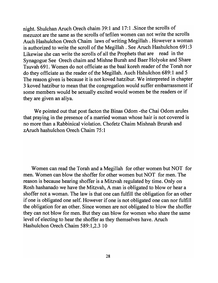night. Shulchan Aruch Orech chaim 39:1 and 17:1 .Since the scrolls of mezuzot are the same as the scrolls of tefilen women can not write the scrolls Auch Hashulchon Orech Chaim laws of writing Megillah . However a woman is authorized to write the scroll of the Megillah . See Aruch Hashulchon 691 :3 Likewise she can write the scrolls of all the Prophets that are read in the Synagogue See Orech chaim and Mishne Burah and Baer Holyoke and Share Tsuvah 691. Women do not officiate as the baal koreh reader of the Torah nor do they officiate as the reader of the Megillah. Auch Hshulchon 689:1 and 5 The reason given is because it is not koved hatzibur. We interpreted in chapter 3 koved hatzibur to mean that the congregation would suffer embarrassment if some members would be sexually excited would women be the readers or if they are given an aliya.

We pointed out that post facton the Binas Odom -the Chai Odom arules that praying in the presence of a married woman whose hair is not covered is no more than a Rabbinical violation. Chofetz Chaim Mishnah Brurah and zAruch hashulchon Orech Chaim 75:1

Women can read the Torah and a Megillah for other women but NOT for men. Women can blow the shoffer for other women but NOT for men. The reason is because hearing shoffer is a Mitzvah regulated by time. Only on Rosh hashanado we have the Mitzvah, A man is obligated to blow or hear a shoffer not a woman. The law is that one can fulfill the obligation for an other if one is obligated one self. However if one is not obligated one can nor fulfill the obligation for an other. Since women are not obligated to blow the shoffer they can not blow for men. But they can blow for women who share the same level of electing to hear the shoffer as they themselves have. Aruch Hashulchon Orech Chaim 589:1,2.3 10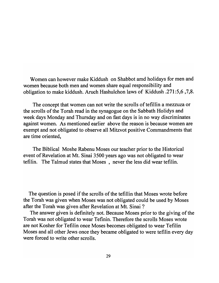Women can however make Kiddush on Shabbot amd holidays for men and women because both men and women share equal responsibility and obligation to make kiddush. Aruch Hashulchon laws of Kiddush .271 :5,6 ,7,8.

The concept that women can not write the scrolls of tefillin a mezzuza or the scrolls of the Torah read in the synagogue on the Sabbath Holidys and week days Monday and Thursday and on fast days is in no way discriminates against women. As mentioned earlier above the reason is because women are exempt and not obligated to observe all Mitzvot positive Commandments that are time oriented,

The Biblical Moshe Rabenu Moses our teacher prior to the Historical event of Revelation at Mt. Sinai 3500 years ago was not obligated to wear tefilin. The Talmud states that Moses , never the less did wear tefilin.

The question is posed if the scrolls of the tefillin that Moses wrote before the Torah was given when Moses was not obligated could be used by Moses after the Torah was given after Revelation at Mt. Sinai?

The answer given is definitely not. Because Moses prior to the giving of the Torah was not obligated to wear Tefinin. Therefore the scrolls Moses wrote are not Kosher for Tefilin once Moses becomes obligated to wear Tefilin Moses and all other Jews once they became obligated to were tefilin every day were forced to write other scrolls.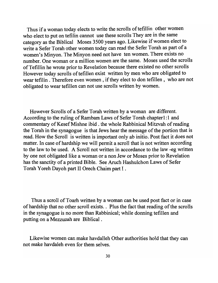Thus if a woman today elects to write the scrolls of tefillin other women who elect to put on tefilin cannot use these scrolls They are in the same category as the Biblical Moses 3500 years ago. Likewise if women elect to write a Sefer Torah other women today can read the Sefer Torah as part of a women's Minyon. The Minyon need not have ten women. There exists no number. One woman or a million women are the same. Moses used the scrolls ofTefillin he wrote prior to Revelation because there existed no other scrolls However today scrolls of tefillen exist written by men who are obligated to wear tefilin. Therefore even women, if they elect to don tefillen, who are not obligated to wear tefillen can not use scrolls written by women.

However Scrolls of a Sefer Torah written by a woman are different. According to the ruling of Rambam Laws of Sefer Torah chapter1:1 and commentary of Kesef Mishne ibid. the whole Rabbinical Mitzvah of reading the Torah in the synagogue is that Jews hear the message of the portion that is read. How the Scroll is written is important only ab initio. Post fact it does not matter. In case of hardship we will permit a scroll that is not written according to the law to be used. A Scroll not written in accordance to the law -eg written by one not obligated like a woman or a non Jew or Moses prior to Revelation has the sanctity of a printed Bible. See Aruch Hashulchon Laws of Sefer Torah Yoreh Dayoh part II Orech Chaim part I.

Thus a scroll of Toarh written by a woman can be used post fact or in case of hardship that no other scroll exists. . Plus the fact that reading of the scrolls in the synagogue is no more than Rabbinical; while donning tefillen and putting on a Mezzuzah are Biblical.

Likewise women can make havdalleh Other authorities hold that they can not make havdaleh even for them selves.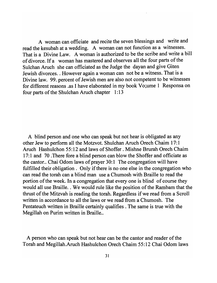A woman can officiate and recite the seven blessings and write and read the kesubah at a wedding. A woman can not function as a witnesses. That is a Divine Law. A woman is authorized to be the scribe and write a bill of divorce. If a woman has mastered and observes all the four parts of the Sulchan Aruch she can officiated as the Judge the dayan and give Giten Jewish divorces .. However again a woman can not be a witness. That is a Divine law. 99. percent of Jewish men are also not competent to be witnesses for different reasons .as I have elaborated in my book Vo;ume 1 Responsa on four parts of the Shulchan Aruch chapter 1:13

A blind person and one who can speak but not hear is obligated as any other Jew to perform all the Motzvot. Shulchan Aruch Orech Chaim 17: 1 Aruch Hashulchon 55:12 and laws of Shoffer. Mishne Brurah Orech Chaim 17: 1 and 70. There fore a blind person can blow the Shoffer and officiate as the cantor.. Chai Odom laws of prayer 30:1 The congregation will have fulfilled their obligation. Only if there is no one else in the congregation who can read the torah can a blind man use a Chumosh with Braille to read the portion of the week. In a congregation that every one is blind of course they would all use Braille. . We would rule like the position of the Rambam that the thrust of the Mitzvah is reading the torah. Regardless if we read from a Scroll written in accordance to all the laws or we read from a Chumosh. The Pentateuch written in Braille certainly qualifies. The same is true with the Megillah on Purim written in Braille..

A person who can speak but not hear can be the cantor and reader of the Torah and Megillah.Aruch Hashulchon Orech Chaim 55:12 Chai Odom laws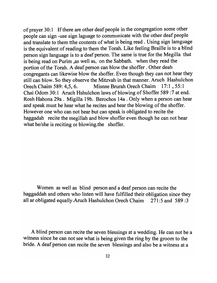of prayer 30:1 If there are other deaf people in the congregation some other people can sign -use sign laguage to communicate with the other deaf people and translate to them tthe contents of what is being read. Using sign lamguage is the equivalent of reading to them the Torah. Like feeling Braille is to a blind person sign language is to a deaf person. The same is true for the Megilla that is being read on Purim ,as well as, on the Sabbath. when they read the portion of the Torah. A deaf person can blow the shoffer . Other deah congregants can likewise blow the shoffer. Even though they can not hear they still can blow. So they observe the Mitzvah in that manner. Aruch Hashulchon Orech Chaim 589: 4,5, 6. Misnne Brurah Orech Chaim 17:1, 55:1 Chai Odom 30:1 Aruch Hshulchon laws of blowing of Shoffer 589 :7 at end. Rosh Hahona 29a. Migilla 19b. Berochos 14a . Only when a person can hear and speak must he hear what he recites and hear the blowing of the shoffer. However one who can not hear but can speak is obligated to recite the haggadah recite the megillah and blow shoffer even though he can not hear what he/she is reciting or blowing.the shoffer.

Women as well as blind person and a deaf person can recite the haggaddah and others who listen will have fulfilled their obligation since they all ar obligated equally.Aruch Hashulchon Orech Chaim 271:5 and 589:3

A blind person can recite the seven blessings at a wedding. He can not be a witness since he can not see what is being given the ring by the groom to the bride. A deaf person can recite the seven blessings and also be a witness at a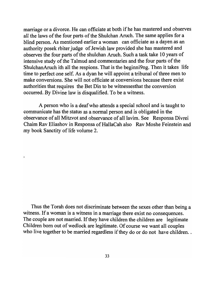marriage or a divorce. He can officiate at both if he has mastered and observes all the laws of the four parts of the Shulchan Aruch. The same applies for a blind person. As mentioned earlier a woman can officiate as a dayen as an authority posek rbiter judge of Jewish law provided she has mastered and observes the four parts of the shulchan Aruch. Such a task take 10 years of intensive study of the Talmud and commentaries and the four parts of the ShulchanAruch ith all the respions. That is the beginni9ng. Then it takes life time to perfect one self. As a dyan he will appoint a tribunal of three men to make conversions. She will not officiate at conversions because there exist authorities that requires the Bet Din to be witnessesthat the conversion occurred. By Divine law is disqualified. To be a witness.

A person who is a deaf who attends a special school and is taught to communicate has the status as a normal person and is obligated in the observance of all Mitzvot and observance of all lavim. See Responsa Divrei Chaim Rav Eliashov in Responsa of HallaCah also Rav Moshe Feinstein and my book Sanctity of life volume 2.

Thus the Torah does not discriminate between the sexes other than being a witness. If a woman is a witness in a marriage there exist no consequences. The couple are not married. If they have children the children are legitimate Children born out of wedlock are legitimate. Of course we want all couples who live together to be married regardless if they do or do not have children..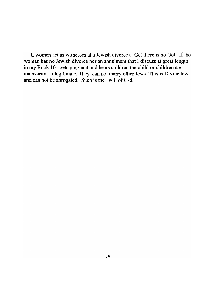Ifwomen act as witnesses at a Jewish divorce a Get there is no Get. If the woman has no Jewish divorce nor an annulment that I discuss at great length in my Book 10 gets pregnant and bears children the child or children are mamzarim illegitimate. They can not marry other Jews. This is Divine law and can not be abrogated. Such is the will of G-d.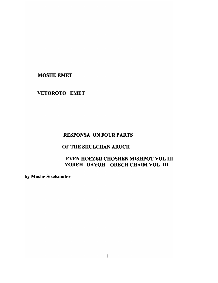**MOSHE EMET** 

## VETOROTO EMET

## RESPONSA ON FOUR PARTS

 $\mathbb{R}^2$ 

# OF THE SHULCHAN ARUCH

# EVEN HOEZER CHOSHEN MISHPOT VOL III YOREH DAYOH ORECH CHAIM VOL III

by Moshe Siselsender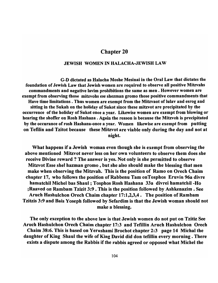## Chapter 20

#### JEWISH WOMEN IN HALACHA-JEWISH LAW

G-D dictated as Halacha Moshe Mesinai in the Oral Law that dictates the foundation of Jewish Law that Jewish women are required to observe all positive Mitzvahs commandments and negative lavim prohibitions the same as men. However women are exempt from observing those mitzvohs ese shezman gromo those positive commandments that Have time limitations. Thus women are exempt from the Mitzvaot of lulav and esrog and sitting in the Sukah on the holiday of Sukot since these mitzvot are precipitated by the occurrence of the holiday of Sukot once a year. Likewise women are exempt from blowing or hearing the shoffer on Rosh Hashana. Again the reason is because the Mitzvoh is precipitated by the occurance of rosh Hashana-once a year. Women likewise are exempt from putting on Tefilin and Tzitot because these Mitzvot are viable only during the day and not at night.

What happens if a Jewish woman even though she is exempt from observing the above mentioned Mitzvot never less on her own volunteers to observe them does she receive Divine reward? The answer is yes. Not only is she permitted to observe Mitzvot Esse shel hazman gromo , but she also should make the blessing that men make when observing the Mitzvah. This is the position of Ramo on Orech Chaim chapter 17, who follows the position of Rabbenu Tam onTosphos Eruvin 96a divre hamatchil Michel bas Shaul; Tosphos Rosh Hashana 33a divrei hamatchil -Ho ;Raaved on Rambam Tzizit 3:9 • This is the position followed by Ashkenazim. See Aruch Hashulchon Orech Chaim chapter 17:1,2,3,4. The position of Rambam Tzitzis 3:9 and Bais Yoseph followed by Sefardim is that the Jewish woman should not make a blessing.

The only exception to the above law is that Jewish women do not put on Tzitiz See Aruch Hashulchon Orech Chaim chapter 17:3 and Tefillin Aruch Hashulchon Orech Chaim 38:6. This is based on Yerushami Brochot chapter 2:3 page 14 Michal the daughter of King Shaul the wife of King David did don tefillin every morning. There exists a dispute among the Rabbis if the rabbis agreed or opposed what Michel the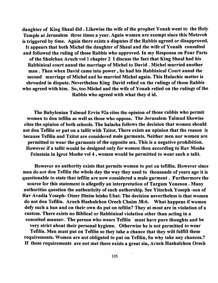daughter of King Shaul did. Likewise the wife of the prophet Yonah went to the Holy Temple at Jerusalem three times a year. Again women are exempt since this Motzvoh is triggered by time. Again there exists a disputes if the Rabbis agreed or disapproved. It appears that both Michel the daughter of Shaul and the wife of Yonaih consulted and followed the ruling of those Rabbis who approved. In my Responsa on Four Parts of the Shulchan Aruch vol 1 chapter 2 I discuss the fact that King Shaul had his Rabbinical court annul the marriage of Michel to David. Michel married another man. Then when David came into power, he had his Rabbinical Court annul the second marriage of Michel and he married Michel again. This Halachic matter is shrouded in dispute. Nevertheless King David relied on the rulings of those Rabbis who agreed with him. So, too Michel and the wife of Yonah relied on the rulings of the Rabbis who agreed with what they did.

The Babylonian Talmud Ervin 92a cites the opinion of those rabbis who permit women to don tefilin as well as those who oppose. The Jerusalem Talmud likewise cites the opinion of both schools. The halacha follows the decision that women should not don Tefilin or put on a tallit with Tzitot. There exists an opinion that the reason is because Tefilin and Tzitot are considered male garments. Neither men nor women are permitted to wear the garments of the opposite sex. This is a negative prohibition. However if a tallit would be designed only for women then according to Rav Moshe Feinstein in Igrot Moshe vol 4 , women would be permitted to wear such a talit.

However no authority exists that permits women to put on tefillin. However since men do not don Tefilin the whole day the way they used to thousands of years ago it is questionable to state that tefilin are now considered a male garment. Furthermore the source for this statement is allegedly an interpretation of Targum Yoneson . Many authorities question the authenticity of such authorship. See Yitzchok Yoseph -son of Rav Avadia Yoseph- Otzer Dinim leisho Ubat. The decision nevertheless is that women do not don Tefilin. Aruch Hashulchon Orech Chaim 38:6. What happens if women defy such a ban and on their own do put on tefilin? They at most are in violation of a custom. There exists no Biblical or Rabbinical violation other than acting in a conceited manner. The person who wears Tefilin must have pure thoughts and be very strict about their personal hygiene. Otherwise he is not permitted to wear

Tefilin. Men must put on Tefilin so they take a chance that they will fulfill these requirements. Women are not obligated to put on Tefilin, So why take any chances.? If these requirements are not met there exists a great sin, Aruch Hashulchon Orech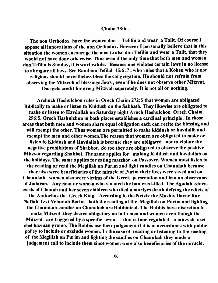#### Chaim 38:6.

The non Orthodox have the women don Tefilin and wear a Talit. Of course I oppose all innovations of the non Orthodox. However I personally believe that in this situation the women encourage the men to also don Tefilin and wear a Talit, that they would not have done otherwise. Thus even if the only time that both men and women don Tefilin is Sunday, it is worthwhile. Because one violates certain laws in no license to abrogate all laws. See Rambam Tefilah 15:6 ,7 , who rules that a Kohen who is not religious should nevertheless bless the congregation. He should not refrain from observing the Mitzvoh of blessings Jews, even if he does not observe other Mitzvot. One gets credit for every Mitzvah separately. It is not all or nothing.

Archuch Hashulchon rules in Orech Chaim 272:5 that women are obligated Biblically to make or listen to Kiddush on the Sabbath. They likewise are obligated to make or listen to Havdallah on Saturday night Aruch Hashulchon Orech Chaim 296:5. Orech Hashulchon in both places establishes a cardinal principle. In those areas that both men and women share equal obligation each can recite the blessing and will exempt the other. Thus women are permitted to make kiddush or havdallh and exempt the men and other women.The reason that women are obligated to make or listen to Kiddush and Havdallah is because they are obligated not to violate the negative prohibitions of Shabbot. So too they are obligated to observe the positive Mitzvot regarding Shabbot. The same applies for making Kiddush and havdallah on the holidays. The same applies for eating matzhot on Passover. Women must listen to the reading or read the Megillah on Purim and light candles on Chanukah because they also were beneficiaries of the miracle of Purim their lives were saved and on Chanukah women also were victims of the Greek persecution and ban on observance of Judaism. Any man or woman who violated the ban was killed. The Agadah -storyexists of Chanah and her seven children who died a martyrs death defying the edicts of the Antiochus the Greek King. According to the Netziv the Mashiv Davar Rav Naftali Tzvi Yehudah Berlin both the reading of the Megillah on Purim and lighting the Chanukah candles on Chanukah are Rabbinical. The Rabbis have discretion to make Mitzvot they decree obligatory on both men and women even though the Mitzvot are triggered by a specific event that is time regulated - a mitzvah asei shel hazman gromo. The Rabbis use their judgement if it is in accordance with public policy to include or exclude women. In the case of reading or listening to the reading of the Megillah on Purim and lighting the candles on Chanukah they made a judgement call to include them since women were also beneficiaries of the miracle.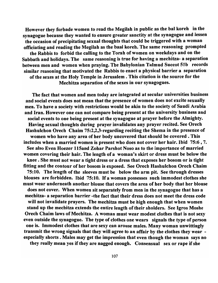However they forbade women to read the Megilah in public as the bal koreh in the synagogue because they wanted to ensure greater sanctity at the synagogue and lessen the occasion of precipitating sexual thoughts that could be triggered with a woman officiating and reading the Megilah as the baal koreh. The same reasoning prompted the Rabbis to forbid the calling to the Torah of women on weekdays and on the Sabbath and holidays. The same reasoning is true for having a mechitza- a separation between men and women when praying. The Babylonian Talmud Succot 51b records similar reasoning that motivated the Rabbis to enact a physical barrier a separation of the sexes at the Holy Temple in Jerusalem. This citation is the source for the Mechitza separation of the sexes in our synagogues.

The fact that women and men today are integrated at secular universities business and social events does not mean that the presence of women does not excite sexually men. To have a society with restrictions would be akin to the society of Saudi Arabia and Iran. However one can not compare being present at the university business and social events to one being present at the synagogue at prayer before the Almighty. Having sexual thoughts during prayer invalidates any prayer recited. See Orech Hashulchon Orech Chaim 75:2,2,3-regarding reciting the Shema in the presence of women who have any area of her body uncovered that should be covered. This includes when a married women is present who does not cover her hair. Ibid 75:6, 7. See also Even Hoezer 115and Zohar Parshot Noso as to the importance of married women covering their hair. The length of a woman's skirt or dress must be below the knee. She must not wear a tight dress or a dress that exposes her bosom or is tight fitting and the contour of her bosom is exposed. See Orech Hashulchon Orech Chaim 75:10. The length of the sleeves must be below the arm pit. See through dresses blouses are forbidden. Ibid 75:10. If a woman possesses such immodest clothes she must wear underneath another blouse that covers the area of her body that her blouse does not cover. When women sit separately from men in the synagogue that has a mechitza- a separation barrier -the fact that their dress does not meet the dress code will not invalidate prayers. The mechitza must be high enough that when women stand up the mechitza extends the entire length of their sholders. See Igros Moshe Orech Chaim laws of Mechitza. A woman must wear modest clothes that is not sexy even outside the synagogue. The type of clothes one wears signals the type of person one is. Immodest clothes that are sexy can arouse males. Many woman unwittingly transmit the wrong signals that they will agree to an affair by the clothes they wear especially shorts. Males may get the impression that even though the woman says no

they really mean yes if they are nagged enough. Consensual sex or rape if she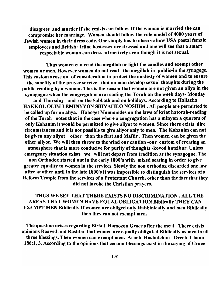disagrees and murder if she resists can follow. If the woman is married she can compromise her marriage. Women should follow the role model of 4000 years of Jewish women in their dress code. One simply has to observe how USA postal female employees and British airline hostesses are dressed and one will see that a smart respectable woman can dress attractively even though it is not sexual.

Thus women can read the megillah or light the candles and exempt other women or men. However women do not read the megillah in public-in the synagoge. This custom arose out of consideration to protect the modesty of women and to ensure the sanctity of the prayer service - that no man develop sexual thoughts during the public reading by a woman. This is the reason that women are not given an aliya in the synagogue when the congregation are reading the Torah on the week days- Monday

and Thursday and on the Sabbath and on holidays. According to Hallacha HAKKOL OLIM LEMINYYON SHIVAFILO NOSHIM . All people are permitted to be called up for an aliya. Hahoget Maimonides on the laws of kriat hatorah-reading of the Torah notes that in the case where a congregation has a minyon a quorom of only Kohanim it would be permitted to give aliyot to women. Since there exists dire circumstances and it is not possible to give aliyot only to men. The Kohanim can not be given any aliyot other than the first and Maftir . Then women can be given the other aliyot. We will then throw to the wind our caution -our custom of creating an atmosphere that is more conducive for purity of thoughts -kovod hatzibur. Unless emergency situation exists we will not depart from tradition at the synagogue. The non Orthodox started out in the early 1800's with mixed seating in order to give greater equality to women in the services. Slowly the non orthodox discarded one law after another until in the late 1800's it was impossible to distinguish the services of a Reform Temple from the services of a Protestant Church, other than the fact that they did not invoke the Christian prayers.

THUS WE SEE THAT THERE EXISTS NO DISCRIMINATION. ALL THE AREAS THAT WOMEN HAVE EQUAL OBLIGATION Biblically THEY CAN EXEMPT MEN Biblically If women are obliged only Rabbinically and men Biblically then they can not exempt men.

The question arises regarding Birkot Hamozon Grace after the meal. There exists opinions Raaved and Rashba that women are equally obligated Biblically as men in all three blessings. Then women can exempt men. Aruch Hashulchon Orech Chaim 186:1, 3. According to the opinions that certain blessings exist in the saying of Grace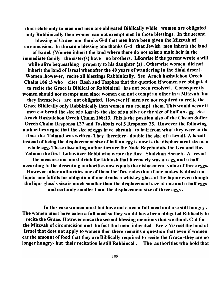that relate only to men and men are obligated Biblically while women are obligated only Rabbinically then women can not exempt men in those blessings. In the second

blessing of Grace one thanks G-d that men have been given the Mitzvah of circumcision. In the same blessing one thanks G-d that Jewish men inherit the land of Israel. {Women inherit the land where there do not exist a male heir in the immediate family the sister{s} have no brothers. Likewise if the parent wrote a will while alive bequeathing property to his daughter  ${s}$ . Otherwise women did not inherit the land of Isreal whenafter the 40 years of wandering in the Sinai desert. Women ,however, recite all blessings Rabbinically. See Aruch hashulchon Orech Chaim 186 :3 who cites Rosh and Tosphos that the question if women are obligated to recite the Grace is Biblical or Rabbinical has not been resolved. Consequently women should not exempt men since women can not exempt an other in a Mitzvah that they themselves are not obligated. However if men are not required to recite the Grace Biblically only Rabbinically then women can exempt them. This would occur if men eat bread the size of a kazait- the size of an olive or the size of half an egg See Aruch Hashulchon Orech Chaim 168:13. This is the position also of the Chsam Soffer Orech Chaim Responsa 127 and Tashbatz vol 3 Responsa 33. However the following authorities argue that the size of eggs have shrunk to half from what they were at the time the Talmud was written. They therefore, double the size of a kezait. A kezait instead of being the displacement size of half an egg is now is the displacement size of a whole egg. These dissenting authorities are the Node Beyehudah, the Gro and Rav Zalman the first Lubavitzer Rebbi who wrote the Rav Shulchan Asruch • A- reviot the measure one must drink for kiddush that foremerly was an egg and a half according to the dissenting authorities now equals the dislacement value of three eggs. However other authorities one of them the Taz rules that if one makes Kiddush on liquor one fulfills his obligation if one drinks a whiskey glass of the liquor even though the liqor glass's size is much smaller than the displacement size of one and a half eggs and certainly smaller than the displacement size of three eggs.

In this case women must but have not eaten a full meal and are still hungry . The women must have eaten a full meal so they would have been obligated Biblically to recite the Grace. However since the second blessing mentions that we thank G-d for the Mitzvah of circumcision and the fact that men inherited Eretz Yisroel the land of Israel that does not apply to women then there remains a question that even if women eat the amount of food that they are Biblically required to recite the Grace -they are no longer hungry- but their recitation is still Rabbincal . The authorities who hold that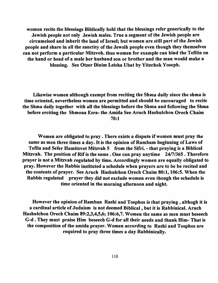women recite the blessings Biblically hold that the blessings refer generically to the Jewish people not only Jewish males. True a segment of the Jewish people are circumcised and inherit the land of Israel; but women are still part of the Jewish people and share in all the sanctity of the Jewsih people even though they themselves can not perform a particular Mitzvoh. thus women for example can bind the Tefilin on the hand or head of a male her husband son or brother and the man would make a blessing. See Otzer Dinim Leisha Ubat by Yitzchok Yoseph.

Likewise women although exempt from reciting the Shma daily since the shma is time oriented, nevertheless women are permitted and should be encouraged to recite the Shma daily together with all the blessings before the Shma and following the Shma before erciting the Shmona Esra- the Amida See Aruch Hashulchon Orech Chaim 70:1

Women are obligated to pray. There exists a dispute if women must pray the same as men three times a day. It is the opinion of Rambam beginning of Laws of Tefila and Sefer Hamitzvot Mitzvah 5 from the Sifri. - that praying is a Biblical Mitzvah. The position of Rif is the same. One can pray anytime 24/7/365. Therefore prayer is not a Mitzvah regulated by time. Accordingly women are equally obligated to pray. However the Rabbis instituted a schedule when prayers are to be be recited and the contents of prayer. See Aruch Hashulchon Orech Chaim 80:1, 106:5. When the Rabbis regulated prayer they did not exclude women even though the schedule is time oriented in the morning afternoon and night.

However the opinion of Ramban Rashi and Tosphos is that praying, althogh it is a cardinal article of Judaism is not deemed Biblical, but it is Rabbinical. Aruch Hashulchon Orech Chaim 89:2,3,4,5,6; 106:6,7. Women the same as men must beseech G-d • They must praise Him beseech G-d for all their needs and thank Him- That is the composition of the amida prayer. Women according to Rashi and Tosphos are required to pray three times a day Rabbinically.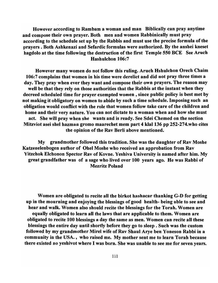However according to Rambam a woman and man Biblically can pray anytime and compose their own prayer. Both men and women Rabbinically must pray according to the schedule set up by the Rabbis and must use the precise formula of the prayers. Both Ashkenazi and Sefardic formulas were authorized. By the anshei kneset hagdolo at the time following the destruction of the first Temple 550 BCE See Aruch Hashulchon 106:7

However many women do not follow this ruling. Aruch Hshulchon Orech Chaim 106:7 complains that women in his time were derelict and did not pray three times a day. They pray when ever they want and compose their own prayers. The reason may well be that they rely on those authorities that the Rabbis at the instant when they decreed scheduled time for prayer exempted women, since public policy is best met by not making it obligatory on women to abide by such a time schedule. Imposing such an obligation would conflict with the role that women follow take care of the children and home and their very nature. You can not dictate to a woman when and how she must act. She will pray when she wants and is ready. See Sdei Chemed on the section Mitzviot asei shel hazman gromo maarechet mem part 4 k1a1136 pp 252-274.who cites the opinion of the Rav Berli above mentioned.

My grandmother followed this tradition. She was the daughter of Rav Moshe Katzenelenbogen author of Ohel Moshe who received an approbation from Rav Yitzchok Elchonon Spector Rav of Kovne. Yeshiva University is named after him. My great grandfather was of a sage who lived over 100 years ago. He was Rabbi of Mezritz Poland

Women are obligated to recite all the birkot hashacar thanking G-D for getting up in the mourning and enjoying the blessings of good health- being able to see and hear and walk. Women also should recite the blessings for the Torah. Women are equally obligated to learn all the laws that are applicable to them. Women are obligated to recite 100 blessings a day the same as men. Women can recite all these blessings the entire day until shortly before they go to sleep. Such was the custom followed by my grandmother Mirel wife of Rav Shaul Arye ben Yoneson Rabbi in a community in the USA., who raised me. My mother sent me to learn Torah because there existed no yeshivot where I was born. She was unable to see me for seven years.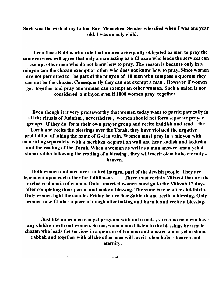Such was the wish of my father Rav Menachem Sender who died when I was one year old. I was an only child.

Even those Rabbis who rule that women are equally obligated as men to pray the same services will agree that only a man acting as a Chazan who leads the services can exempt other men who do not know how to pray. The reason is because only in a minyon can the chazan exempt an other who does not know how to pray. Since women are not permitted to be part of the minyon of 10 men who compose a quorom they can not be the chazan. Consequently they can not exempt a man. However if women get together and pray one woman can exempt an other woman. Such a union is not considered a minyon even if 1000 women pray together.

Even though it is very praiseworthy that women today want to participate fully in all the rituals of Judaism, nevertheless, women should not form separate prayer groups. If they do form their own prayer group and recite kaddish and read the Torah and recite the blessings over the Torah, they have violated the negative prohibition of taking the name ofG-d in vain. Women must pray in a minyon with men sitting separately with a mechitza -separation wall and hear kadish and kedusha and the reading of the Torah. When a woman as well as a man answer aman yehai shmai rabbo following the reading of a blessing, they will merit olem habo eternity heaven.

Both women and men are a united integral part of the Jewish people. They are dependent upon each other for fulfillment. There exist certain Mitzvot that are the exclusive domain of women. Only married women must go to the Mikvah 12 days after completing their period and make a blessing. The same is true after childbirth. Only women light the candles Friday before thee Sabbath and recite a blessing. Only women take Chala - a piece of dough after baking and burn it and recite a blessing.

Just like no women can get pregnant with out a male, so too no man can have any children with out women. So too, women must listen to the blessings by a male chazan who leads the services in a quorum of ten men and answer aman yehai shmai rabbah and together with all the other men will merit -olem habo - heaven and eternity.